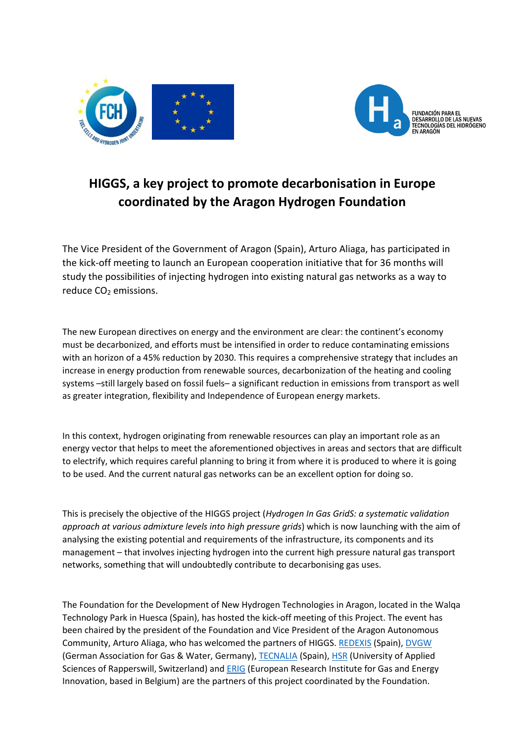



## **HIGGS, a key project to promote decarbonisation in Europe coordinated by the Aragon Hydrogen Foundation**

The Vice President of the Government of Aragon (Spain), Arturo Aliaga, has participated in the kick-off meeting to launch an European cooperation initiative that for 36 months will study the possibilities of injecting hydrogen into existing natural gas networks as a way to reduce CO<sub>2</sub> emissions.

The new European directives on energy and the environment are clear: the continent's economy must be decarbonized, and efforts must be intensified in order to reduce contaminating emissions with an horizon of a 45% reduction by 2030. This requires a comprehensive strategy that includes an increase in energy production from renewable sources, decarbonization of the heating and cooling systems –still largely based on fossil fuels– a significant reduction in emissions from transport as well as greater integration, flexibility and Independence of European energy markets.

In this context, hydrogen originating from renewable resources can play an important role as an energy vector that helps to meet the aforementioned objectives in areas and sectors that are difficult to electrify, which requires careful planning to bring it from where it is produced to where it is going to be used. And the current natural gas networks can be an excellent option for doing so.

This is precisely the objective of the HIGGS project (*Hydrogen In Gas GridS: a systematic validation approach at various admixture levels into high pressure grids*) which is now launching with the aim of analysing the existing potential and requirements of the infrastructure, its components and its management – that involves injecting hydrogen into the current high pressure natural gas transport networks, something that will undoubtedly contribute to decarbonising gas uses.

The Foundation for the Development of New Hydrogen Technologies in Aragon, located in the Walqa Technology Park in Huesca (Spain), has hosted the kick-off meeting of this Project. The event has been chaired by the president of the Foundation and Vice President of the Aragon Autonomous Community, Arturo Aliaga, who has welcomed the partners of HIGGS. [REDEXIS](https://www.redexisgas.es/) (Spain), [DVGW](https://www.dvgw.de/) (German Association for Gas & Water, Germany)[, TECNALIA](https://www.tecnalia.com/es/) (Spain), [HSR](https://www.hsr.ch/de/) (University of Applied Sciences of Rapperswill, Switzerland) and [ERIG](http://www.erig.eu/) (European Research Institute for Gas and Energy Innovation, based in Belgium) are the partners of this project coordinated by the Foundation.